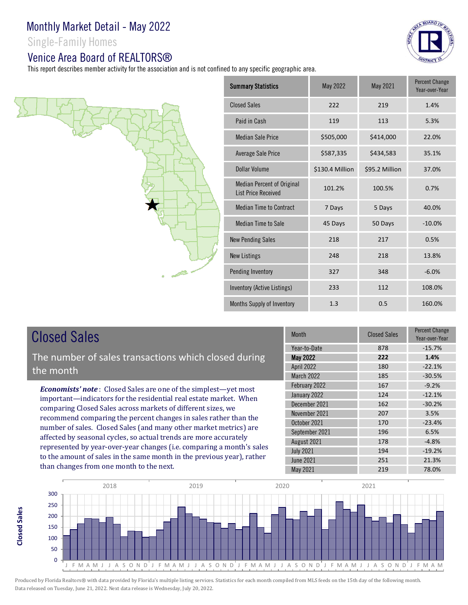Single-Family Homes

## Venice Area Board of REALTORS®

This report describes member activity for the association and is not confined to any specific geographic area.





# Closed Sales

**Closed SalesClosed Sales**  The number of sales transactions which closed during the month

*Economists' note* : Closed Sales are one of the simplest—yet most important—indicators for the residential real estate market. When comparing Closed Sales across markets of different sizes, we recommend comparing the percent changes in sales rather than the number of sales. Closed Sales (and many other market metrics) are affected by seasonal cycles, so actual trends are more accurately represented by year-over-year changes (i.e. comparing a month's sales to the amount of sales in the same month in the previous year), rather than changes from one month to the next.

| <b>Month</b>      | <b>Closed Sales</b> | Percent Change<br>Year-over-Year |
|-------------------|---------------------|----------------------------------|
| Year-to-Date      | 878                 | $-15.7%$                         |
| May 2022          | 222                 | 1.4%                             |
| <b>April 2022</b> | 180                 | $-22.1%$                         |
| March 2022        | 185                 | $-30.5%$                         |
| February 2022     | 167                 | $-9.2%$                          |
| January 2022      | 124                 | $-12.1%$                         |
| December 2021     | 162                 | $-30.2%$                         |
| November 2021     | 207                 | 3.5%                             |
| October 2021      | 170                 | $-23.4%$                         |
| September 2021    | 196                 | 6.5%                             |
| August 2021       | 178                 | $-4.8%$                          |
| <b>July 2021</b>  | 194                 | $-19.2%$                         |
| <b>June 2021</b>  | 251                 | 21.3%                            |
| May 2021          | 219                 | 78.0%                            |

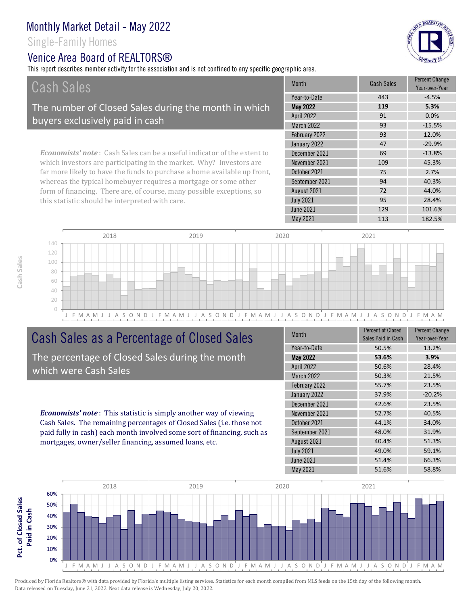## Single-Family Homes

#### Venice Area Board of REALTORS®

this statistic should be interpreted with care.

This report describes member activity for the association and is not confined to any specific geographic area.



BOARD OF

95 28.4%

| Cash Sales                                                                     | <b>Month</b>      | <b>Cash Sales</b> | <b>Percent Change</b><br>Year-over-Year |
|--------------------------------------------------------------------------------|-------------------|-------------------|-----------------------------------------|
|                                                                                | Year-to-Date      | 443               | $-4.5%$                                 |
| The number of Closed Sales during the month in which                           | <b>May 2022</b>   | 119               | 5.3%                                    |
| buyers exclusively paid in cash                                                | <b>April 2022</b> | 91                | 0.0%                                    |
|                                                                                | March 2022        | 93                | $-15.5%$                                |
|                                                                                | February 2022     | 93                | 12.0%                                   |
|                                                                                | January 2022      | 47                | $-29.9%$                                |
| <b>Economists' note:</b> Cash Sales can be a useful indicator of the extent to | December 2021     | 69                | $-13.8%$                                |
| which investors are participating in the market. Why? Investors are            | November 2021     | 109               | 45.3%                                   |
| far more likely to have the funds to purchase a home available up front,       | October 2021      | 75                | 2.7%                                    |
| whereas the typical homebuyer requires a mortgage or some other                | September 2021    | 94                | 40.3%                                   |
| form of financing. There are, of course, many possible exceptions, so          | August 2021       | 72                | 44.0%                                   |



# Cash Sales as a Percentage of Closed Sales

The percentage of Closed Sales during the month which were Cash Sales

*Economists' note* : This statistic is simply another way of viewing Cash Sales. The remaining percentages of Closed Sales (i.e. those not paid fully in cash) each month involved some sort of financing, such as mortgages, owner/seller financing, assumed loans, etc.

| Month            | <b>Percent of Closed</b><br>Sales Paid in Cash | <b>Percent Change</b><br>Year-over-Year |
|------------------|------------------------------------------------|-----------------------------------------|
| Year-to-Date     | 50.5%                                          | 13.2%                                   |
| <b>May 2022</b>  | 53.6%                                          | 3.9%                                    |
| April 2022       | 50.6%                                          | 28.4%                                   |
| March 2022       | 50.3%                                          | 21.5%                                   |
| February 2022    | 55.7%                                          | 23.5%                                   |
| January 2022     | 37.9%                                          | $-20.2%$                                |
| December 2021    | 42.6%                                          | 23.5%                                   |
| November 2021    | 52.7%                                          | 40.5%                                   |
| October 2021     | 44.1%                                          | 34.0%                                   |
| September 2021   | 48.0%                                          | 31.9%                                   |
| August 2021      | 40.4%                                          | 51.3%                                   |
| <b>July 2021</b> | 49.0%                                          | 59.1%                                   |
| June 2021        | 51.4%                                          | 66.3%                                   |
| May 2021         | 51.6%                                          | 58.8%                                   |

June 2021 129 129 101.6%

July 2021

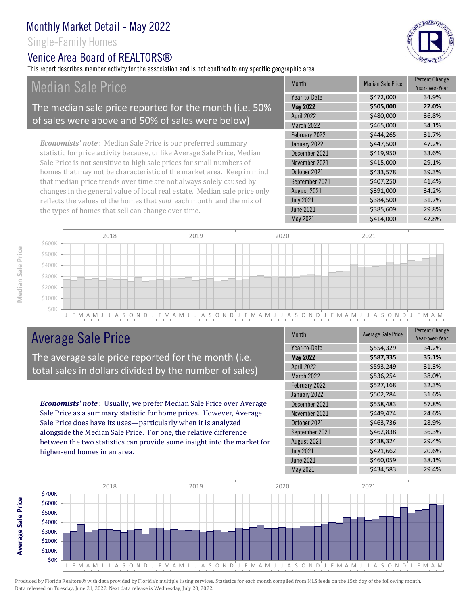Single-Family Homes

#### Venice Area Board of REALTORS®

This report describes member activity for the association and is not confined to any specific geographic area.

# Median Sale Price

#### The median sale price reported for the month (i.e. 50% of sales were above and 50% of sales were below)

*Economists' note* : Median Sale Price is our preferred summary statistic for price activity because, unlike Average Sale Price, Median Sale Price is not sensitive to high sale prices for small numbers of homes that may not be characteristic of the market area. Keep in mind that median price trends over time are not always solely caused by changes in the general value of local real estate. Median sale price only reflects the values of the homes that *sold* each month, and the mix of the types of homes that sell can change over time.

| <b>Month</b>     | <b>Median Sale Price</b> | <b>Percent Change</b><br>Year-over-Year |
|------------------|--------------------------|-----------------------------------------|
| Year-to-Date     | \$472,000                | 34.9%                                   |
| <b>May 2022</b>  | \$505,000                | 22.0%                                   |
| April 2022       | \$480,000                | 36.8%                                   |
| March 2022       | \$465,000                | 34.1%                                   |
| February 2022    | \$444,265                | 31.7%                                   |
| January 2022     | \$447,500                | 47.2%                                   |
| December 2021    | \$419,950                | 33.6%                                   |
| November 2021    | \$415,000                | 29.1%                                   |
| October 2021     | \$433,578                | 39.3%                                   |
| September 2021   | \$407,250                | 41.4%                                   |
| August 2021      | \$391,000                | 34.2%                                   |
| <b>July 2021</b> | \$384,500                | 31.7%                                   |
| <b>June 2021</b> | \$385,609                | 29.8%                                   |
| May 2021         | \$414,000                | 42.8%                                   |



# Average Sale Price

The average sale price reported for the month (i.e. total sales in dollars divided by the number of sales)

*Economists' note* : Usually, we prefer Median Sale Price over Average Sale Price as a summary statistic for home prices. However, Average Sale Price does have its uses—particularly when it is analyzed alongside the Median Sale Price. For one, the relative difference between the two statistics can provide some insight into the market for higher-end homes in an area.

| <b>Month</b>      | <b>Average Sale Price</b> | <b>Percent Change</b><br>Year-over-Year |
|-------------------|---------------------------|-----------------------------------------|
| Year-to-Date      | \$554,329                 | 34.2%                                   |
| <b>May 2022</b>   | \$587,335                 | 35.1%                                   |
| April 2022        | \$593,249                 | 31.3%                                   |
| <b>March 2022</b> | \$536,254                 | 38.0%                                   |
| February 2022     | \$527,168                 | 32.3%                                   |
| January 2022      | \$502,284                 | 31.6%                                   |
| December 2021     | \$558,483                 | 57.8%                                   |
| November 2021     | \$449,474                 | 24.6%                                   |
| October 2021      | \$463,736                 | 28.9%                                   |
| September 2021    | \$462,838                 | 36.3%                                   |
| August 2021       | \$438,324                 | 29.4%                                   |
| <b>July 2021</b>  | \$421,662                 | 20.6%                                   |
| <b>June 2021</b>  | \$460,059                 | 38.1%                                   |
| <b>May 2021</b>   | \$434,583                 | 29.4%                                   |





**Average Sale Price**

Average Sale Price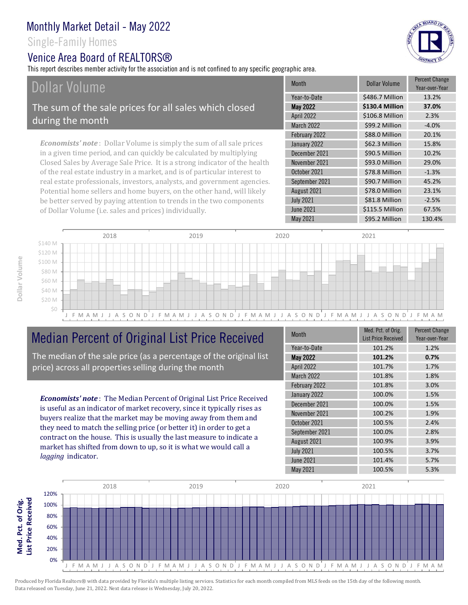Single-Family Homes

#### Venice Area Board of REALTORS®

This report describes member activity for the association and is not confined to any specific geographic area.

# Dollar Volume

The sum of the sale prices for all sales which closed during the month

*Economists' note* : Dollar Volume is simply the sum of all sale prices in a given time period, and can quickly be calculated by multiplying Closed Sales by Average Sale Price. It is a strong indicator of the health of the real estate industry in a market, and is of particular interest to real estate professionals, investors, analysts, and government agencies. Potential home sellers and home buyers, on the other hand, will likely be better served by paying attention to trends in the two components of Dollar Volume (i.e. sales and prices) individually.

| <b>Month</b>     | Dollar Volume   | <b>Percent Change</b><br>Year-over-Year |
|------------------|-----------------|-----------------------------------------|
| Year-to-Date     | \$486.7 Million | 13.2%                                   |
| <b>May 2022</b>  | \$130.4 Million | 37.0%                                   |
| April 2022       | \$106.8 Million | 2.3%                                    |
| March 2022       | \$99.2 Million  | $-4.0%$                                 |
| February 2022    | \$88.0 Million  | 20.1%                                   |
| January 2022     | \$62.3 Million  | 15.8%                                   |
| December 2021    | \$90.5 Million  | 10.2%                                   |
| November 2021    | \$93.0 Million  | 29.0%                                   |
| October 2021     | \$78.8 Million  | $-1.3%$                                 |
| September 2021   | \$90.7 Million  | 45.2%                                   |
| August 2021      | \$78.0 Million  | 23.1%                                   |
| <b>July 2021</b> | \$81.8 Million  | $-2.5%$                                 |
| <b>June 2021</b> | \$115.5 Million | 67.5%                                   |
| May 2021         | \$95.2 Million  | 130.4%                                  |



# Median Percent of Original List Price Received

The median of the sale price (as a percentage of the original list price) across all properties selling during the month

*Economists' note* : The Median Percent of Original List Price Received is useful as an indicator of market recovery, since it typically rises as buyers realize that the market may be moving away from them and they need to match the selling price (or better it) in order to get a contract on the house. This is usually the last measure to indicate a market has shifted from down to up, so it is what we would call a *lagging* indicator.

| <b>Month</b>     | Med. Pct. of Orig.<br><b>List Price Received</b> | <b>Percent Change</b><br>Year-over-Year |
|------------------|--------------------------------------------------|-----------------------------------------|
| Year-to-Date     | 101.2%                                           | 1.2%                                    |
| <b>May 2022</b>  | 101.2%                                           | 0.7%                                    |
| April 2022       | 101.7%                                           | 1.7%                                    |
| March 2022       | 101.8%                                           | 1.8%                                    |
| February 2022    | 101.8%                                           | 3.0%                                    |
| January 2022     | 100.0%                                           | 1.5%                                    |
| December 2021    | 100.0%                                           | 1.5%                                    |
| November 2021    | 100.2%                                           | 1.9%                                    |
| October 2021     | 100.5%                                           | 2.4%                                    |
| September 2021   | 100.0%                                           | 2.8%                                    |
| August 2021      | 100.9%                                           | 3.9%                                    |
| <b>July 2021</b> | 100.5%                                           | 3.7%                                    |
| <b>June 2021</b> | 101.4%                                           | 5.7%                                    |
| <b>May 2021</b>  | 100.5%                                           | 5.3%                                    |





**Med. Pct. of Orig.**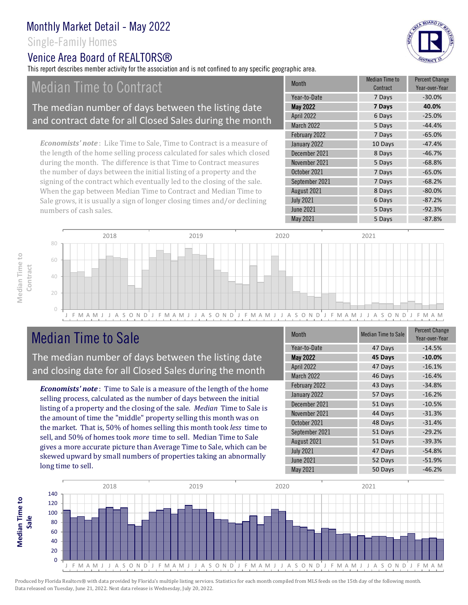#### Single-Family Homes

#### Venice Area Board of REALTORS®

This report describes member activity for the association and is not confined to any specific geographic area.

# Median Time to Contract

#### The median number of days between the listing date and contract date for all Closed Sales during the month

*Economists' note* : Like Time to Sale, Time to Contract is a measure of the length of the home selling process calculated for sales which closed during the month. The difference is that Time to Contract measures the number of days between the initial listing of a property and the signing of the contract which eventually led to the closing of the sale. When the gap between Median Time to Contract and Median Time to Sale grows, it is usually a sign of longer closing times and/or declining numbers of cash sales.

| <b>Month</b>      | Median Time to<br>Contract | <b>Percent Change</b><br>Year-over-Year |
|-------------------|----------------------------|-----------------------------------------|
| Year-to-Date      | 7 Days                     | $-30.0%$                                |
| <b>May 2022</b>   | 7 Days                     | 40.0%                                   |
| April 2022        | 6 Days                     | $-25.0%$                                |
| <b>March 2022</b> | 5 Days                     | $-44.4%$                                |
| February 2022     | 7 Days                     | $-65.0%$                                |
| January 2022      | 10 Days                    | $-47.4%$                                |
| December 2021     | 8 Days                     | $-46.7%$                                |
| November 2021     | 5 Days                     | $-68.8%$                                |
| October 2021      | 7 Days                     | $-65.0%$                                |
| September 2021    | 7 Days                     | $-68.2%$                                |
| August 2021       | 8 Days                     | $-80.0%$                                |
| <b>July 2021</b>  | 6 Days                     | $-87.2%$                                |
| <b>June 2021</b>  | 5 Days                     | $-92.3%$                                |
| May 2021          | 5 Days                     | $-87.8%$                                |



# Median Time to Sale

**Median Time to Contract**

Median Time to

**Median Time to** 

The median number of days between the listing date and closing date for all Closed Sales during the month

*Economists' note* : Time to Sale is a measure of the length of the home selling process, calculated as the number of days between the initial listing of a property and the closing of the sale. *Median* Time to Sale is the amount of time the "middle" property selling this month was on the market. That is, 50% of homes selling this month took *less* time to sell, and 50% of homes took *more* time to sell. Median Time to Sale gives a more accurate picture than Average Time to Sale, which can be skewed upward by small numbers of properties taking an abnormally long time to sell.

| <b>Month</b>      | <b>Median Time to Sale</b> | <b>Percent Change</b><br>Year-over-Year |
|-------------------|----------------------------|-----------------------------------------|
| Year-to-Date      | 47 Days                    | $-14.5%$                                |
| <b>May 2022</b>   | 45 Days                    | $-10.0%$                                |
| April 2022        | 47 Days                    | $-16.1%$                                |
| <b>March 2022</b> | 46 Days                    | $-16.4%$                                |
| February 2022     | 43 Days                    | $-34.8%$                                |
| January 2022      | 57 Days                    | $-16.2%$                                |
| December 2021     | 51 Days                    | $-10.5%$                                |
| November 2021     | 44 Days                    | $-31.3%$                                |
| October 2021      | 48 Days                    | $-31.4%$                                |
| September 2021    | 51 Days                    | $-29.2%$                                |
| August 2021       | 51 Days                    | $-39.3%$                                |
| <b>July 2021</b>  | 47 Days                    | $-54.8%$                                |
| <b>June 2021</b>  | 52 Days                    | $-51.9%$                                |
| May 2021          | 50 Days                    | $-46.2%$                                |



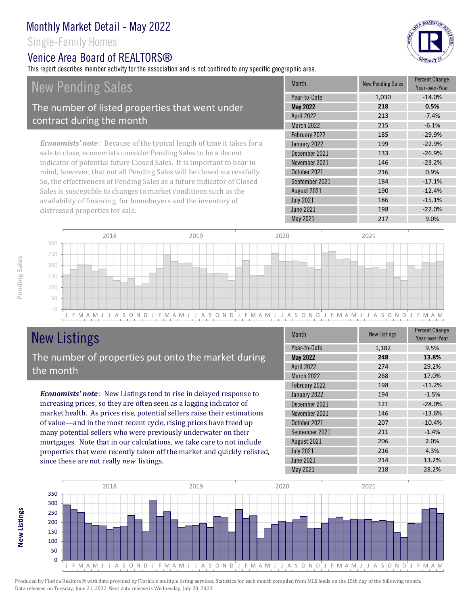Single-Family Homes

#### Venice Area Board of REALTORS®

This report describes member activity for the association and is not confined to any specific geographic area.

November 2021 146 146 -23.2% February 2022 185 -29.9% January 2022 199 199 -22.9% -7.4% March 2022 215 -6.1% December 2021 133 26.9% Month New Pending Sales Percent Change Year-over-Year May 2022 **218 0.5%** Year-to-Date 1,030 -14.0% April 2022 213

May 2021 217 9.0%

July 2021 **186** -15.1% June 2021 **198** -22.0%

September 2021 184 -17.1% August 2021 190 190 -12.4%

October 2021 216 216 0.9%

# New Pending Sales

#### The number of listed properties that went under contract during the month

*Economists' note* : Because of the typical length of time it takes for a sale to close, economists consider Pending Sales to be a decent indicator of potential future Closed Sales. It is important to bear in mind, however, that not all Pending Sales will be closed successfully. So, the effectiveness of Pending Sales as a future indicator of Closed Sales is susceptible to changes in market conditions such as the availability of financing for homebuyers and the inventory of distressed properties for sale.



# New Listings

#### The number of properties put onto the market during the month

*Economists' note* : New Listings tend to rise in delayed response to increasing prices, so they are often seen as a lagging indicator of market health. As prices rise, potential sellers raise their estimations of value—and in the most recent cycle, rising prices have freed up many potential sellers who were previously underwater on their mortgages. Note that in our calculations, we take care to not include properties that were recently taken off the market and quickly relisted, since these are not really *new* listings.

| Month            | <b>New Listings</b> | <b>Percent Change</b><br>Year-over-Year |
|------------------|---------------------|-----------------------------------------|
| Year-to-Date     | 1,182               | 9.5%                                    |
| <b>May 2022</b>  | 248                 | 13.8%                                   |
| April 2022       | 274                 | 29.2%                                   |
| March 2022       | 268                 | 17.0%                                   |
| February 2022    | 198                 | $-11.2%$                                |
| January 2022     | 194                 | $-1.5%$                                 |
| December 2021    | 121                 | $-28.0%$                                |
| November 2021    | 146                 | $-13.6%$                                |
| October 2021     | 207                 | $-10.4%$                                |
| September 2021   | 211                 | $-1.4%$                                 |
| August 2021      | 206                 | 2.0%                                    |
| <b>July 2021</b> | 216                 | 4.3%                                    |
| <b>June 2021</b> | 214                 | 13.2%                                   |
| May 2021         | 218                 | 28.2%                                   |



**New Listings**

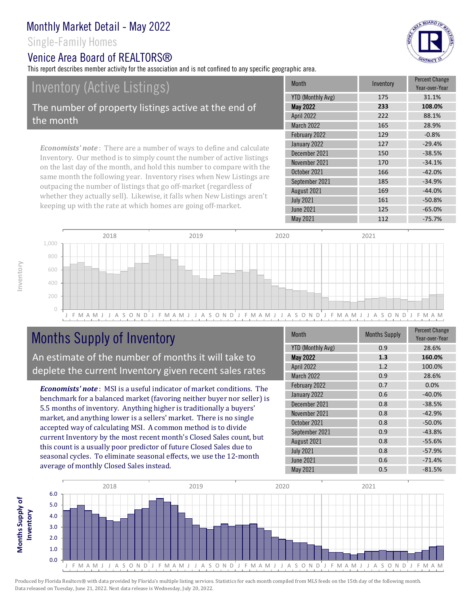#### Single-Family Homes

#### Venice Area Board of REALTORS®

This report describes member activity for the association and is not confined to any specific geographic area.

# Inventory (Active Listings)

The number of property listings active at the end of the month

*Economists' note* : There are a number of ways to define and calculate Inventory. Our method is to simply count the number of active listings on the last day of the month, and hold this number to compare with the same month the following year. Inventory rises when New Listings are outpacing the number of listings that go off-market (regardless of whether they actually sell). Likewise, it falls when New Listings aren't keeping up with the rate at which homes are going off-market.

|  | <b>Month</b>             | Inventory | <b>Percent Change</b><br>Year-over-Year |
|--|--------------------------|-----------|-----------------------------------------|
|  | <b>YTD (Monthly Avg)</b> | 175       | 31.1%                                   |
|  | <b>May 2022</b>          | 233       | 108.0%                                  |
|  | April 2022               | 222       | 88.1%                                   |
|  | <b>March 2022</b>        | 165       | 28.9%                                   |
|  | February 2022            | 129       | $-0.8%$                                 |
|  | January 2022             | 127       | $-29.4%$                                |
|  | December 2021            | 150       | $-38.5%$                                |
|  | November 2021            | 170       | $-34.1%$                                |
|  | October 2021             | 166       | $-42.0%$                                |
|  | September 2021           | 185       | $-34.9%$                                |
|  | August 2021              | 169       | $-44.0%$                                |
|  | <b>July 2021</b>         | 161       | $-50.8%$                                |
|  | <b>June 2021</b>         | 125       | $-65.0%$                                |
|  | May 2021                 | 112       | $-75.7%$                                |
|  |                          |           |                                         |



# Months Supply of Inventory

An estimate of the number of months it will take to deplete the current Inventory given recent sales rates

*Economists' note* : MSI is a useful indicator of market conditions. The benchmark for a balanced market (favoring neither buyer nor seller) is 5.5 months of inventory. Anything higher is traditionally a buyers' market, and anything lower is a sellers' market. There is no single accepted way of calculating MSI. A common method is to divide current Inventory by the most recent month's Closed Sales count, but this count is a usually poor predictor of future Closed Sales due to seasonal cycles. To eliminate seasonal effects, we use the 12-month average of monthly Closed Sales instead.

| Month                    | <b>Months Supply</b> | <b>Percent Change</b><br>Year-over-Year |
|--------------------------|----------------------|-----------------------------------------|
| <b>YTD (Monthly Avg)</b> | 0.9                  | 28.6%                                   |
| <b>May 2022</b>          | 1.3                  | 160.0%                                  |
| April 2022               | 1.2                  | 100.0%                                  |
| <b>March 2022</b>        | 0.9                  | 28.6%                                   |
| February 2022            | 0.7                  | 0.0%                                    |
| January 2022             | 0.6                  | $-40.0%$                                |
| December 2021            | 0.8                  | $-38.5%$                                |
| November 2021            | 0.8                  | $-42.9%$                                |
| October 2021             | 0.8                  | $-50.0%$                                |
| September 2021           | 0.9                  | $-43.8%$                                |
| August 2021              | 0.8                  | $-55.6%$                                |
| <b>July 2021</b>         | 0.8                  | $-57.9%$                                |
| <b>June 2021</b>         | 0.6                  | $-71.4%$                                |
| May 2021                 | 0.5                  | $-81.5%$                                |



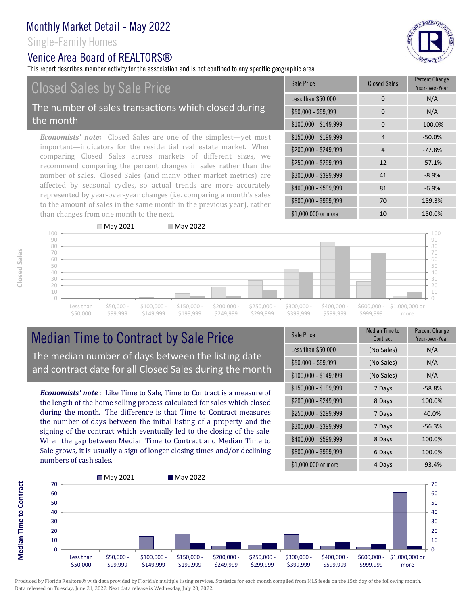#### Single-Family Homes

#### Venice Area Board of REALTORS®

This report describes member activity for the association and is not confined to any specific geographic area.

# Closed Sales by Sale Price

#### The number of sales transactions which closed during the month

*Economists' note:* Closed Sales are one of the simplest—yet most important—indicators for the residential real estate market. When comparing Closed Sales across markets of different sizes, we recommend comparing the percent changes in sales rather than the number of sales. Closed Sales (and many other market metrics) are affected by seasonal cycles, so actual trends are more accurately represented by year-over-year changes (i.e. comparing a month's sales to the amount of sales in the same month in the previous year), rather than changes from one month to the next.

| Sale Price            | <b>Closed Sales</b> | <b>Percent Change</b><br>Year-over-Year |
|-----------------------|---------------------|-----------------------------------------|
| Less than \$50,000    | 0                   | N/A                                     |
| $$50,000 - $99,999$   | 0                   | N/A                                     |
| $$100,000 - $149,999$ | 0                   | $-100.0%$                               |
| $$150,000 - $199,999$ | $\overline{4}$      | $-50.0%$                                |
| \$200,000 - \$249,999 | 4                   | $-77.8%$                                |
| \$250,000 - \$299,999 | 12                  | $-57.1%$                                |
| \$300,000 - \$399,999 | 41                  | $-8.9%$                                 |
| \$400,000 - \$599,999 | 81                  | $-6.9%$                                 |
| \$600,000 - \$999,999 | 70                  | 159.3%                                  |
| \$1,000,000 or more   | 10                  | 150.0%                                  |

May 2021 May 2022



# Median Time to Contract by Sale Price The median number of days between the listing date and contract date for all Closed Sales during the month

*Economists' note* : Like Time to Sale, Time to Contract is a measure of the length of the home selling process calculated for sales which closed during the month. The difference is that Time to Contract measures the number of days between the initial listing of a property and the signing of the contract which eventually led to the closing of the sale. When the gap between Median Time to Contract and Median Time to Sale grows, it is usually a sign of longer closing times and/or declining numbers of cash sales.

| Sale Price            | Median Time to<br><b>Contract</b> | <b>Percent Change</b><br>Year-over-Year |
|-----------------------|-----------------------------------|-----------------------------------------|
| Less than \$50,000    | (No Sales)                        | N/A                                     |
| $$50,000 - $99,999$   | (No Sales)                        | N/A                                     |
| $$100,000 - $149,999$ | (No Sales)                        | N/A                                     |
| $$150,000 - $199,999$ | 7 Days                            | $-58.8%$                                |
| \$200,000 - \$249,999 | 8 Days                            | 100.0%                                  |
| \$250,000 - \$299,999 | 7 Days                            | 40.0%                                   |
| \$300,000 - \$399,999 | 7 Days                            | $-56.3%$                                |
| \$400,000 - \$599,999 | 8 Days                            | 100.0%                                  |
| \$600,000 - \$999,999 | 6 Days                            | 100.0%                                  |
| \$1,000,000 or more   | 4 Days                            | $-93.4%$                                |



Produced by Florida Realtors® with data provided by Florida's multiple listing services. Statistics for each month compiled from MLS feeds on the 15th day of the following month. Data released on Tuesday, June 21, 2022. Next data release is Wednesday, July 20, 2022.

**Median Time to Contract**

**Median Time to Contract** 

& BOARD OF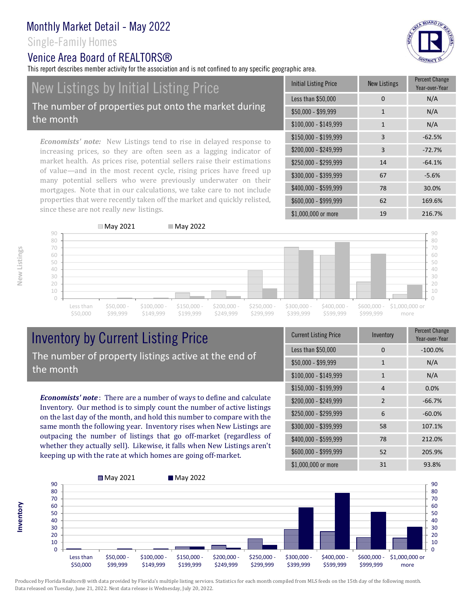#### Single-Family Homes

the month

#### Venice Area Board of REALTORS®

since these are not really *new* listings.

This report describes member activity for the association and is not confined to any specific geographic area.

#### Initial Listing Price New Listings Percent Change Year-over-Year Less than \$50,000 0 0 N/A \$50,000 - \$99,999 1 1 N/A  $$100,000 - $149,999$  1 N/A *Economists' note:* New Listings tend to rise in delayed response to increasing prices, so they are often seen as a lagging indicator of market health. As prices rise, potential sellers raise their estimations of value—and in the most recent cycle, rising prices have freed up many potential sellers who were previously underwater on their \$150,000 - \$199,999 3 -62.5% \$200,000 - \$249,999 3 -72.7%  $$250,000 - $299,999$  14 -64.1% \$300,000 - \$399,999 67 -5.6% New Listings by Initial Listing Price The number of properties put onto the market during

mortgages. Note that in our calculations, we take care to not include properties that were recently taken off the market and quickly relisted,



90



# Inventory by Current Listing Price The number of property listings active at the end of the month

*Economists' note* : There are a number of ways to define and calculate Inventory. Our method is to simply count the number of active listings on the last day of the month, and hold this number to compare with the same month the following year. Inventory rises when New Listings are outpacing the number of listings that go off-market (regardless of whether they actually sell). Likewise, it falls when New Listings aren't keeping up with the rate at which homes are going off-market.

| <b>Current Listing Price</b> | Inventory      | Percent Change<br>Year-over-Year |
|------------------------------|----------------|----------------------------------|
| Less than \$50,000           | 0              | $-100.0%$                        |
| $$50,000 - $99,999$          | $\mathbf{1}$   | N/A                              |
| $$100,000 - $149,999$        | $\mathbf{1}$   | N/A                              |
| $$150,000 - $199,999$        | 4              | 0.0%                             |
| \$200,000 - \$249,999        | $\overline{2}$ | $-66.7%$                         |
| \$250,000 - \$299,999        | 6              | $-60.0%$                         |
| \$300,000 - \$399,999        | 58             | 107.1%                           |
| \$400,000 - \$599,999        | 78             | 212.0%                           |
| \$600,000 - \$999,999        | 52             | 205.9%                           |
| \$1,000,000 or more          | 31             | 93.8%                            |



May 2021 May 2022

Produced by Florida Realtors® with data provided by Florida's multiple listing services. Statistics for each month compiled from MLS feeds on the 15th day of the following month. Data released on Tuesday, June 21, 2022. Next data release is Wednesday, July 20, 2022.

**Inventory**